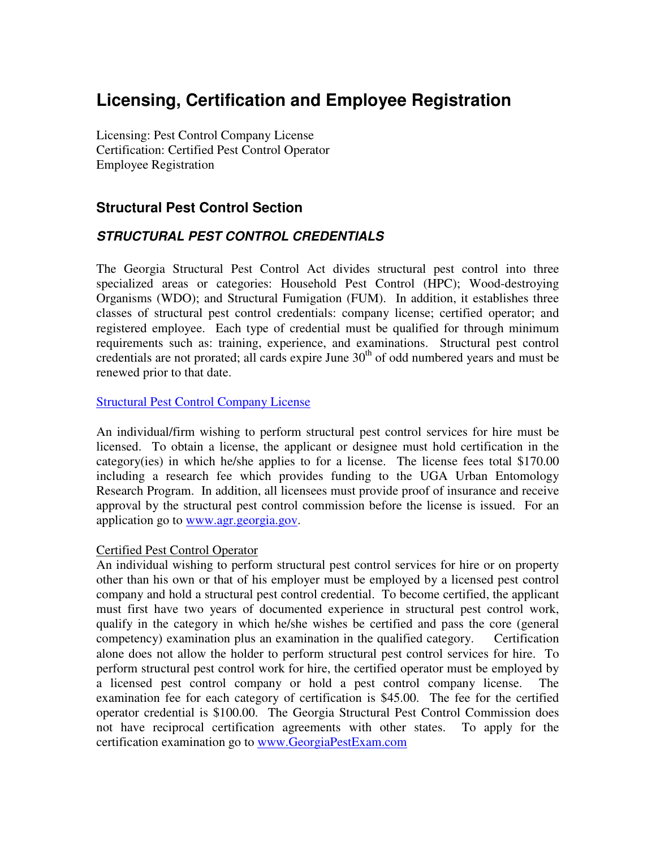# **Licensing, Certification and Employee Registration**

Licensing: Pest Control Company License Certification: Certified Pest Control Operator Employee Registration

## **Structural Pest Control Section**

## **STRUCTURAL PEST CONTROL CREDENTIALS**

The Georgia Structural Pest Control Act divides structural pest control into three specialized areas or categories: Household Pest Control (HPC); Wood-destroying Organisms (WDO); and Structural Fumigation (FUM). In addition, it establishes three classes of structural pest control credentials: company license; certified operator; and registered employee. Each type of credential must be qualified for through minimum requirements such as: training, experience, and examinations. Structural pest control credentials are not prorated; all cards expire June  $30<sup>th</sup>$  of odd numbered years and must be renewed prior to that date.

#### Structural Pest Control Company License

An individual/firm wishing to perform structural pest control services for hire must be licensed. To obtain a license, the applicant or designee must hold certification in the category(ies) in which he/she applies to for a license. The license fees total \$170.00 including a research fee which provides funding to the UGA Urban Entomology Research Program. In addition, all licensees must provide proof of insurance and receive approval by the structural pest control commission before the license is issued. For an application go to www.agr.georgia.gov.

#### Certified Pest Control Operator

An individual wishing to perform structural pest control services for hire or on property other than his own or that of his employer must be employed by a licensed pest control company and hold a structural pest control credential. To become certified, the applicant must first have two years of documented experience in structural pest control work, qualify in the category in which he/she wishes be certified and pass the core (general competency) examination plus an examination in the qualified category. Certification alone does not allow the holder to perform structural pest control services for hire. To perform structural pest control work for hire, the certified operator must be employed by a licensed pest control company or hold a pest control company license. The examination fee for each category of certification is \$45.00. The fee for the certified operator credential is \$100.00. The Georgia Structural Pest Control Commission does not have reciprocal certification agreements with other states. To apply for the certification examination go to www.GeorgiaPestExam.com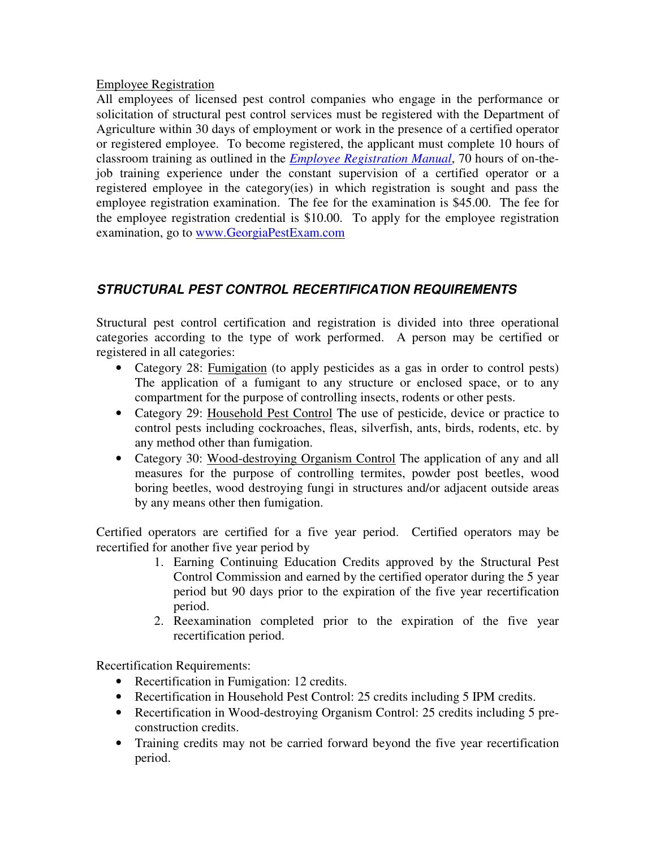#### Employee Registration

All employees of licensed pest control companies who engage in the performance or solicitation of structural pest control services must be registered with the Department of Agriculture within 30 days of employment or work in the presence of a certified operator or registered employee. To become registered, the applicant must complete 10 hours of classroom training as outlined in the *Employee Registration Manual*, 70 hours of on-thejob training experience under the constant supervision of a certified operator or a registered employee in the category(ies) in which registration is sought and pass the employee registration examination. The fee for the examination is \$45.00. The fee for the employee registration credential is \$10.00. To apply for the employee registration examination, go to www.GeorgiaPestExam.com

## **STRUCTURAL PEST CONTROL RECERTIFICATION REQUIREMENTS**

Structural pest control certification and registration is divided into three operational categories according to the type of work performed. A person may be certified or registered in all categories:

- Category 28: Fumigation (to apply pesticides as a gas in order to control pests) The application of a fumigant to any structure or enclosed space, or to any compartment for the purpose of controlling insects, rodents or other pests.
- Category 29: Household Pest Control The use of pesticide, device or practice to control pests including cockroaches, fleas, silverfish, ants, birds, rodents, etc. by any method other than fumigation.
- Category 30: Wood-destroying Organism Control The application of any and all measures for the purpose of controlling termites, powder post beetles, wood boring beetles, wood destroying fungi in structures and/or adjacent outside areas by any means other then fumigation.

Certified operators are certified for a five year period. Certified operators may be recertified for another five year period by

- 1. Earning Continuing Education Credits approved by the Structural Pest Control Commission and earned by the certified operator during the 5 year period but 90 days prior to the expiration of the five year recertification period.
- 2. Reexamination completed prior to the expiration of the five year recertification period.

Recertification Requirements:

- Recertification in Fumigation: 12 credits.
- Recertification in Household Pest Control: 25 credits including 5 IPM credits.
- Recertification in Wood-destroying Organism Control: 25 credits including 5 preconstruction credits.
- Training credits may not be carried forward beyond the five year recertification period.